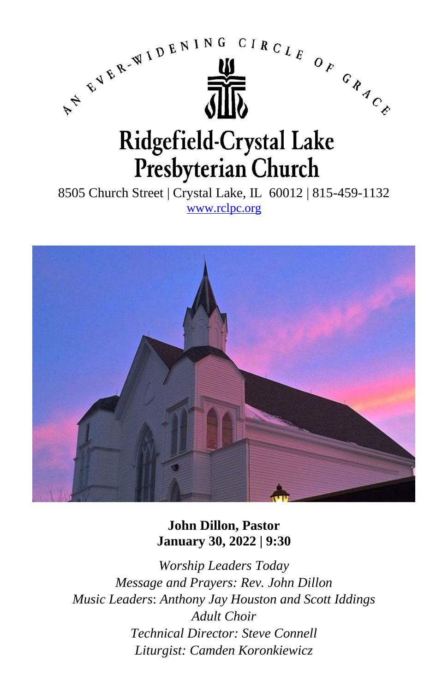

8505 Church Street | Crystal Lake, IL 60012 | 815-459-1132 [www.rclpc.org](http://www.rclpc.org/)



**John Dillon, Pastor January 30, 2022 | 9:30**

*Worship Leaders Today Message and Prayers: Rev. John Dillon Music Leaders*: *Anthony Jay Houston and Scott Iddings Adult Choir Technical Director: Steve Connell Liturgist: Camden Koronkiewicz*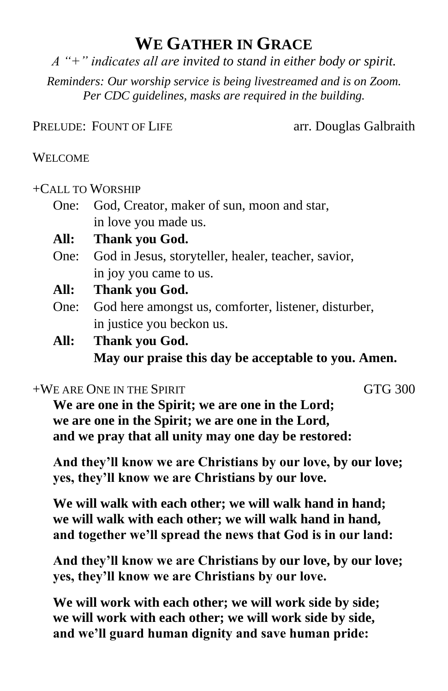# **WE GATHER IN GRACE**

*A "+" indicates all are invited to stand in either body or spirit.*

*Reminders: Our worship service is being livestreamed and is on Zoom. Per CDC guidelines, masks are required in the building.*

PRELUDE: FOUNT OF LIFE arr. Douglas Galbraith

#### WELCOME

### +CALL TO WORSHIP

- One: God, Creator, maker of sun, moon and star, in love you made us.
- **All: Thank you God.**
- One: God in Jesus, storyteller, healer, teacher, savior, in joy you came to us.
- **All: Thank you God.**
- One: God here amongst us, comforter, listener, disturber, in justice you beckon us.
- **All: Thank you God. May our praise this day be acceptable to you. Amen.**

#### $+WE$  are One in the Spirit general generator  $GTG$  300

**We are one in the Spirit; we are one in the Lord; we are one in the Spirit; we are one in the Lord, and we pray that all unity may one day be restored:**

**And they'll know we are Christians by our love, by our love; yes, they'll know we are Christians by our love.**

**We will walk with each other; we will walk hand in hand; we will walk with each other; we will walk hand in hand, and together we'll spread the news that God is in our land:** 

**And they'll know we are Christians by our love, by our love; yes, they'll know we are Christians by our love.**

**We will work with each other; we will work side by side; we will work with each other; we will work side by side, and we'll guard human dignity and save human pride:**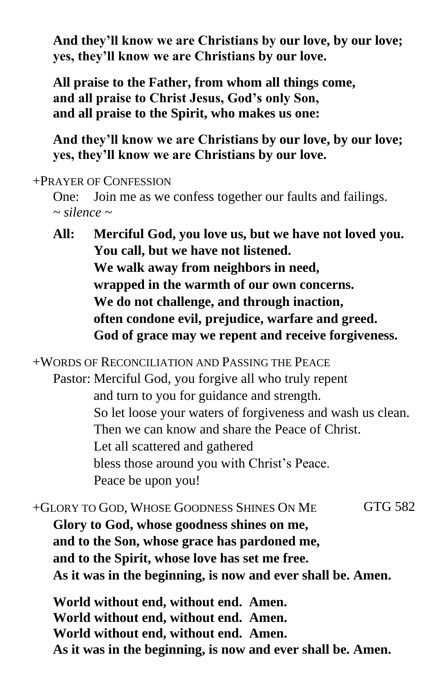**And they'll know we are Christians by our love, by our love; yes, they'll know we are Christians by our love.**

**All praise to the Father, from whom all things come, and all praise to Christ Jesus, God's only Son, and all praise to the Spirit, who makes us one:** 

**And they'll know we are Christians by our love, by our love; yes, they'll know we are Christians by our love.**

+PRAYER OF CONFESSION

One: Join me as we confess together our faults and failings. *~ silence ~*

**All: Merciful God, you love us, but we have not loved you. You call, but we have not listened. We walk away from neighbors in need, wrapped in the warmth of our own concerns. We do not challenge, and through inaction, often condone evil, prejudice, warfare and greed. God of grace may we repent and receive forgiveness.**

+WORDS OF RECONCILIATION AND PASSING THE PEACE

Pastor: Merciful God, you forgive all who truly repent and turn to you for guidance and strength. So let loose your waters of forgiveness and wash us clean. Then we can know and share the Peace of Christ. Let all scattered and gathered bless those around you with Christ's Peace. Peace be upon you!

+GLORY TO GOD, WHOSE GOODNESS SHINES ON ME GTG 582 **Glory to God, whose goodness shines on me, and to the Son, whose grace has pardoned me, and to the Spirit, whose love has set me free. As it was in the beginning, is now and ever shall be. Amen.**

**World without end, without end. Amen. World without end, without end. Amen. World without end, without end. Amen. As it was in the beginning, is now and ever shall be. Amen.**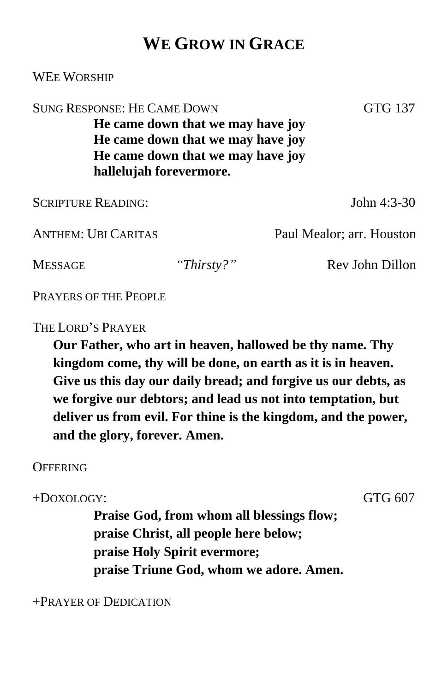## **WE GROW IN GRACE**

| <b>SUNG RESPONSE: HE CAME DOWN</b><br>GTG 137<br>He came down that we may have joy<br>He came down that we may have joy<br>He came down that we may have joy<br>hallelujah forevermore. |            |                           |
|-----------------------------------------------------------------------------------------------------------------------------------------------------------------------------------------|------------|---------------------------|
| <b>SCRIPTURE READING:</b>                                                                                                                                                               |            | John $4:3-30$             |
| <b>ANTHEM: UBI CARITAS</b>                                                                                                                                                              |            | Paul Mealor; arr. Houston |
| <b>MESSAGE</b>                                                                                                                                                                          | "Thirsty?" | Rev John Dillon           |

PRAYERS OF THE PEOPLE

THE LORD'S PRAYER

WEE WORSHIP

**Our Father, who art in heaven, hallowed be thy name. Thy kingdom come, thy will be done, on earth as it is in heaven. Give us this day our daily bread; and forgive us our debts, as we forgive our debtors; and lead us not into temptation, but deliver us from evil. For thine is the kingdom, and the power, and the glory, forever. Amen.**

#### **OFFERING**

+DOXOLOGY: GTG 607

**Praise God, from whom all blessings flow; praise Christ, all people here below; praise Holy Spirit evermore; praise Triune God, whom we adore. Amen.**

+PRAYER OF DEDICATION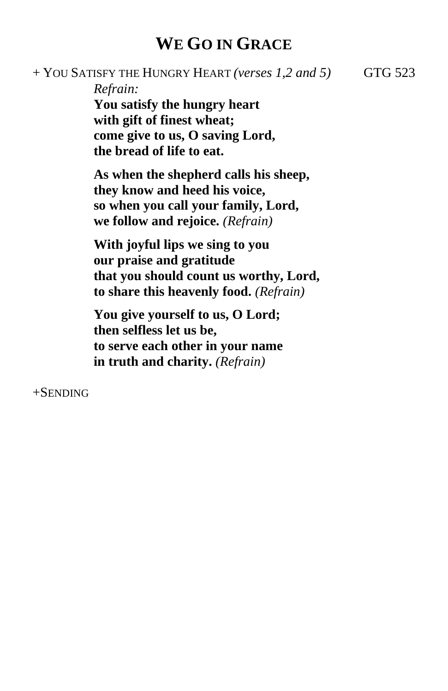## **WE GO IN GRACE**

+ YOU SATISFY THE HUNGRY HEART *(verses 1,2 and 5)* GTG 523

*Refrain:*

**You satisfy the hungry heart with gift of finest wheat; come give to us, O saving Lord, the bread of life to eat.**

**As when the shepherd calls his sheep, they know and heed his voice, so when you call your family, Lord, we follow and rejoice.** *(Refrain)*

**With joyful lips we sing to you our praise and gratitude that you should count us worthy, Lord, to share this heavenly food.** *(Refrain)*

**You give yourself to us, O Lord; then selfless let us be, to serve each other in your name in truth and charity.** *(Refrain)*

+SENDING